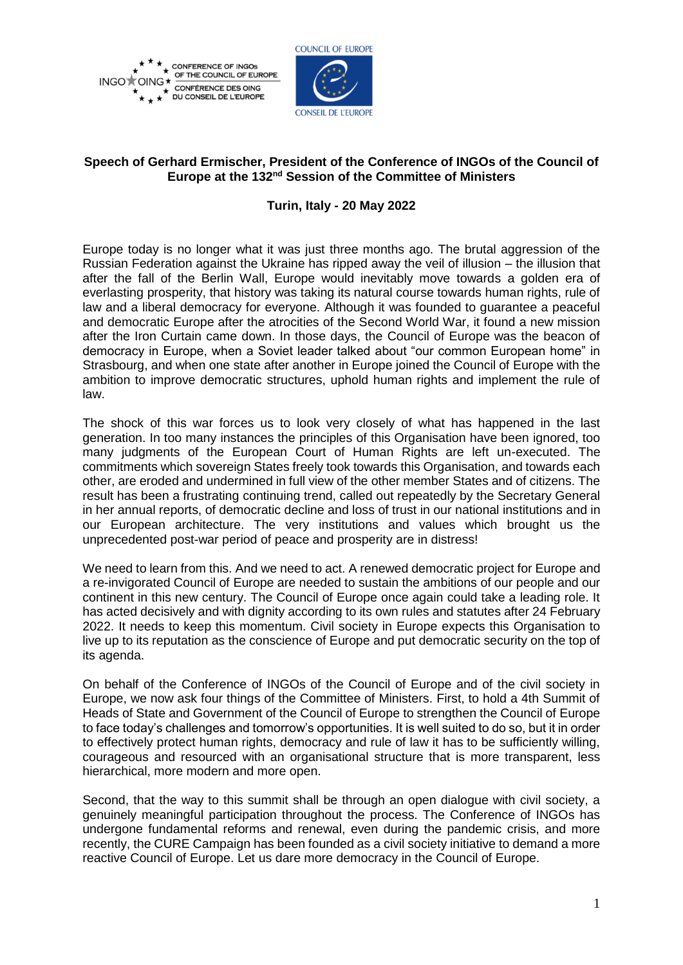



## **Speech of Gerhard Ermischer, President of the Conference of INGOs of the Council of**  Europe at the 132<sup>nd</sup> Session of the Committee of Ministers

## **Turin, Italy - 20 May 2022**

Europe today is no longer what it was just three months ago. The brutal aggression of the Russian Federation against the Ukraine has ripped away the veil of illusion – the illusion that after the fall of the Berlin Wall, Europe would inevitably move towards a golden era of everlasting prosperity, that history was taking its natural course towards human rights, rule of law and a liberal democracy for everyone. Although it was founded to guarantee a peaceful and democratic Europe after the atrocities of the Second World War, it found a new mission after the Iron Curtain came down. In those days, the Council of Europe was the beacon of democracy in Europe, when a Soviet leader talked about "our common European home" in Strasbourg, and when one state after another in Europe joined the Council of Europe with the ambition to improve democratic structures, uphold human rights and implement the rule of law.

The shock of this war forces us to look very closely of what has happened in the last generation. In too many instances the principles of this Organisation have been ignored, too many judgments of the European Court of Human Rights are left un-executed. The commitments which sovereign States freely took towards this Organisation, and towards each other, are eroded and undermined in full view of the other member States and of citizens. The result has been a frustrating continuing trend, called out repeatedly by the Secretary General in her annual reports, of democratic decline and loss of trust in our national institutions and in our European architecture. The very institutions and values which brought us the unprecedented post-war period of peace and prosperity are in distress!

We need to learn from this. And we need to act. A renewed democratic project for Europe and a re-invigorated Council of Europe are needed to sustain the ambitions of our people and our continent in this new century. The Council of Europe once again could take a leading role. It has acted decisively and with dignity according to its own rules and statutes after 24 February 2022. It needs to keep this momentum. Civil society in Europe expects this Organisation to live up to its reputation as the conscience of Europe and put democratic security on the top of its agenda.

On behalf of the Conference of INGOs of the Council of Europe and of the civil society in Europe, we now ask four things of the Committee of Ministers. First, to hold a 4th Summit of Heads of State and Government of the Council of Europe to strengthen the Council of Europe to face today's challenges and tomorrow's opportunities. It is well suited to do so, but it in order to effectively protect human rights, democracy and rule of law it has to be sufficiently willing, courageous and resourced with an organisational structure that is more transparent, less hierarchical, more modern and more open.

Second, that the way to this summit shall be through an open dialogue with civil society, a genuinely meaningful participation throughout the process. The Conference of INGOs has undergone fundamental reforms and renewal, even during the pandemic crisis, and more recently, the CURE Campaign has been founded as a civil society initiative to demand a more reactive Council of Europe. Let us dare more democracy in the Council of Europe.